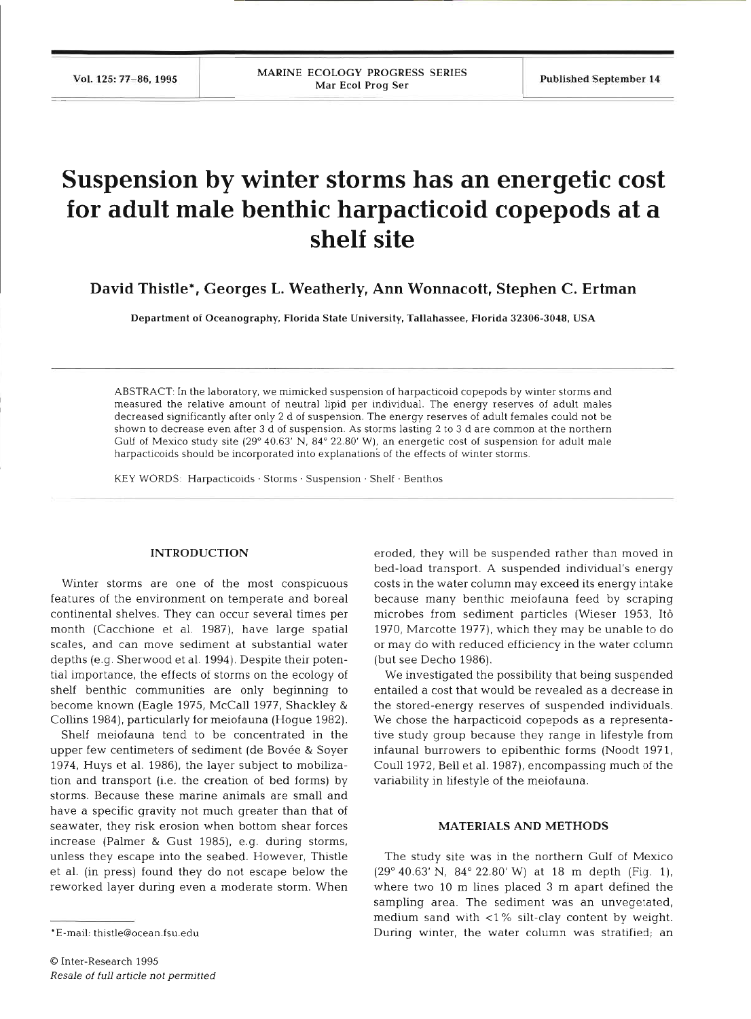# **Suspension by winter storms has an energetic cost for adult male benthic harpacticoid copepods at a shelf site**

**David Thistle\*, Georges L. Weatherly, Ann Wonnacott, Stephen C. Ertman** 

**Department of Oceanography, Florida State University, Tallahassee, Florida 32306-3048, USA** 

ABSTRACT: In the laboratory, we mimicked suspension of harpacticoid copepods by winter storms and measured the relative amount of neutral lipid per individual. The energy reserves of adult males decreased significantly after only 2 d of suspension. The energy reserves of adult females could not be shown to decrease even after 3 d of suspension. As storms lasting 2 to 3 d are common at the northern Gulf of Mexico study site (29" 40.63' N, 84" 22.80' W), an energetic cost of suspension for adult male harpacticoids should be incorporated into explanations of the effects of winter storms.

KEY WORDS: Harpacticoids · Storms · Suspension · Shelf · Benthos

#### **INTRODUCTIO**

Winter storms are one of the most conspicuous features of the environment on temperate and boreal continental shelves. They can occur several times per month (Cacchione et al. 1987), have large spatial scales, and can move sediment at substantial water depths (e.g. Sherwood et al. 1994). Despite their potential importance, the effects of storms on the ecology of shelf benthic communities are only beginning to become known (Eagle 1975, McCall 1977, Shackley & Collins 1984), particularly for meiofauna (Hogue 1982).

 $S$ helf meiofauna tend to be concentrated in t upper few centimeters of sediment (de Bovée & Soyer 1974, Huys et al. 1986), the layer subject to mobilization and transport (i.e. the creation of bed forms) by storms. Because these marine animals are small a have a specific gravity not much greater than that of seawater, they risk erosion when bottom shear forces increase (Palmer & Gust 1985), e.g. during storms, unless they escape into the seabed. However, Thistle et al. (in press) found they do not escape below the reworked layer during even a moderate storm. When eroded, they will be suspended rather than moved in bed-load transport. A suspended individual's energy costs in the water column may exceed its energy intake because many benthic meiofauna feed by scraping microbes from sediment particles (Wieser 1953, It6 1970, Marcotte 1977), which they may be unable to do or may do with reduced efficiency in the water column (but see Decho 1986).

We investigated the possibility that being suspended entailed a cost that would be revealed as a decrease in the stored-energy reserves of suspended individuals. We chose the harpacticoid copepods as a representative study group because they range in lifestyle from infaunal burrowers to epibenthic forms (Noodt 1971, Coull 1972, Bell et al. 1987), encompassing much of the variability in lifestyle of the meiofauna.

#### **MATERIALS AND METHO**

The study site was in the northern Gulf of Mexico  $(29^{\circ} 40.63' N, 84^{\circ} 22.80' W)$  at 18 m depth (Fig. 1), where two 10 m lines placed 3 m apart defined the sampling area. The sediment was an unvegetated, medium sand with  $<$ 1% silt-clay content by weight. During winter, the water column was stratified; an

<sup>\*</sup>E-mail: thistle@ocean.fsu.edu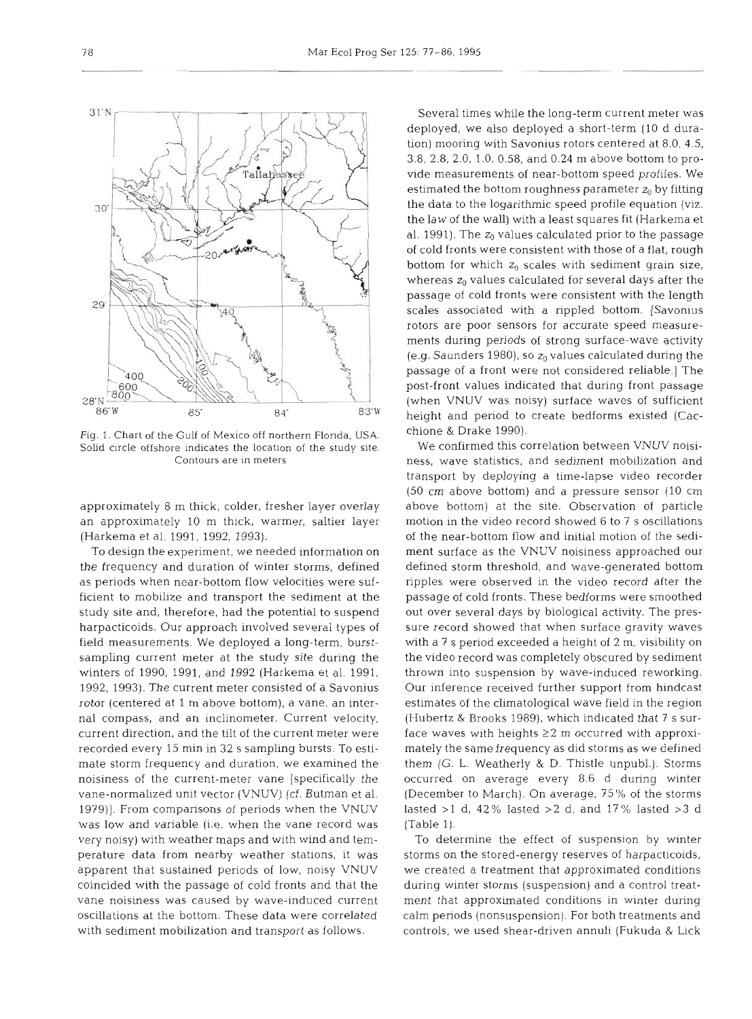

Fig. 1. Chart of the Gulf of Mexico off northern Florida, USA. Solid circle offshore indicates the location of the study site. Contours are in meters

approximately 8 m thick, colder, fresher layer overlay an approximately 10 m thick, warmer, saltier layer (Harkema et al. 1991, 1992, 1993).

To design the experiment, we needed information on the frequency and duration of winter storms, defined as periods when near-bottom flow velocities were sufficient to mobilize and transport the sediment at the study site and, therefore, had the potential to suspend harpacticoids. Our approach involved several types of field measurements. We deployed a long-term, burstsampling current meter at the study site during the winters of 1990, 1991, and 1992 (Harkema et al. 1991, 1992, 1993). The current meter consisted of a Savonius rotor (centered at 1 m above bottom), a vane, an internal compass, and an inclinometer. Current velocity, current direction, and the tilt of the current meter were recorded every 15 min in 32 s sampling bursts. To estimate storm frequency and duration, we examined the noisiness of the current-meter vane [specifically the vane-normalized unit vector (VNUV) (cf. Butman et al. 1979)]. From comparisons of periods when the VNUV was low and variable (i.e. when the vane record was very noisy) with weather maps and with wind and temperature data from nearby weather stations, it was apparent that sustained periods of low, noisy VNUV coincided with the passage of cold fronts and that the vane noisiness was caused by wave-induced current oscillations at the bottom. These data were correlated with sediment mobilization and transport as follows.

Several times while the long-term current meter was deployed, we also deployed a short-term (10 d duration) mooring with Savonius rotors centered at 8.0, 4.5, 3.8, 2.8, 2.0, 1.0, 0.58, and 0.24 m above bottom to provide measurements of near-bottom speed profiles. We estimated the bottom roughness parameter  $z_0$  by fitting the data to the logarithmic speed profile equation (viz. the law of the wall) with a least squares fit (Harkema et al. 1991). The  $z_0$  values calculated prior to the passage of cold fronts were consistent with those of a flat, rough bottom for which  $z_0$  scales with sediment grain size, whereas  $z_0$  values calculated for several days after the passage of cold fronts were consistent with the length scales associated with a rippled bottom. [Savonius rotors are poor sensors for accurate speed measurements during periods of strong surface-wave activity (e.g. Saunders 1980), so  $z_0$  values calculated during the passage of a front were not considered reliable.] The post-front values indicated that during front passage (when VNUV was noisy) surface waves of sufficient height and period to create bedforms existed (Cacchione & Drake 1990).

We confirmed this correlation between VNUV noisiness, wave statistics, and sediment mobilization and transport by deploying a time-lapse video recorder (50 cm above bottom) and a pressure sensor (10 cm above bottom) at the site. Observation of particle motion in the video record showed 6 to 7 s oscillations of the near-bottom flow and initial motion of the sediment surface as the VNUV noisiness approached our defined storm threshold, and wave-generated bottom ripples were observed in the video record after the passage of cold fronts. These bedforms were smoothed out over several days by biological activity. The pressure record showed that when surface gravity waves with a 7 s period exceeded a height of 2 m, visibility on the video record was completely obscured by sediment thrown into suspension by wave-induced reworking. Our inference received further support from hindcast estimates of the climatological wave field in the region (Hubertz & Brooks 1989), which indicated that 7 s surface waves with heights  $\geq$  2 m occurred with approximately the same frequency as did storms as we defined them (G. L. Weatherly & D. Thistle unpubl.). Storms occurred on average every 8.6 d during winter (December to March). On average, 75 % of the storms lasted  $>1$  d, 42% lasted  $>2$  d, and 17% lasted  $>3$  d (Table 1).

To determine the effect of suspension by winter storms on the stored-energy reserves of harpacticoids, we created a treatment that approximated conditions during winter storms (suspension) and a control treatment that approximated conditions in winter during calm periods (nonsuspension). For both treatments and controls, we used shear-driven annuli (Fukuda & Lick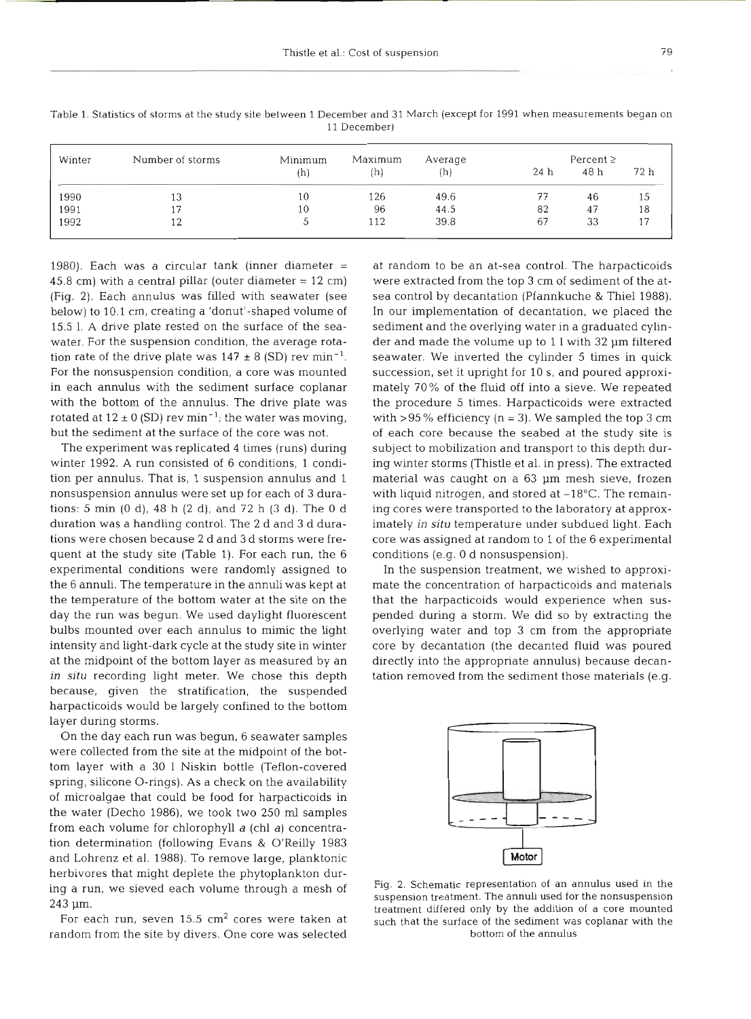| Winter<br>Number of storms |     | Minimum<br>Maximum |      | Percent $\geq$  |      |      |
|----------------------------|-----|--------------------|------|-----------------|------|------|
|                            | (h) | (h)                | (h)  | 24 <sub>h</sub> | 48 h | 72 h |
| 13                         | 10  | 126                | 49.6 | 77              | 46   | 15   |
|                            | 10  | 96                 | 44.5 | 82              | 47   | 18   |
| 12                         |     | 112                | 39.8 | 67              | 33   |      |
|                            |     |                    |      |                 |      |      |

Table 1. Statistics of storms at the study site between 1 December and 31 March (except for 1991 when measurements began on 11 December)

1980). Each was a circular tank (inner diameter  $=$ 45.8 cm) with a central pillar (outer diameter  $= 12$  cm) (Fig. 2). Each annulus was filled with seawater (see below) to 10.1 cm, creating a 'donut'-shaped volume of 15.5 1. A drive plate rested on the surface of the seawater. For the suspension condition, the average rotation rate of the drive plate was  $147 \pm 8$  (SD) rev min<sup>-1</sup>. For the nonsuspension condition, a core was mounted in each annulus with the sediment surface coplanar with the bottom of the annulus. The drive plate was rotated at  $12 \pm 0$  (SD) rev min<sup>-1</sup>; the water was moving, but the sediment at the surface of the core was n

The experiment was replicated 4 times (runs) during winter 1992. A run consisted of 6 conditions, 1 condition per annulus. That is, 1 suspension annulus and 1 nonsuspension annulus were set up for each of 3 durations: 5 min (0 d), 48 h (2 d), and 72 h (3 d). The 0 d duration was a handling control. The 2 d and 3 d durations were chosen because 2 d and 3 d storms were frequent at the study site (Table 1). For each run, the 6 experimental conditions were randomly assigned to the 6 annuli. The temperature in the annuli was kept at the temperature of the bottom water at the site on the day the run was begun. We used daylight fluorescent bulbs mounted over each annulus to mimic the light intensity and light-dark cycle at the study site in winter at the midpoint of the bottom layer as measured by an *in situ* recording light meter. We chose this depth because, given the stratification, the suspended harpacticoids would be largely confined to the bottom layer during storms.

On the day each run was begun, 6 seawater samples were collected from the site at the midpoint of the bottom layer with a 30 1 Niskin bottle (Teflon-covered spring, silicone 0-rings). As a check on the availability of microalgae that could be food for harpacticoids in the water (Decho 1986), we took two 250 **m1** samples from each volume for chlorophyll a (chl a) concentration determination (following Evans & O'Reilly 1983 and Lohrenz et al. 1988). To remove large, planktonic herbivores that might deplete the phytoplankton during a run, we sieved each volume through a mesh of 243 um.

For each run, seven  $15.5 \text{ cm}^2$  cores were taken at random from the site by divers. One core was selected

at random to be an at-sea control. The harpacticoids were extracted from the top 3 cm of sediment of the atsea control by decantation (Pfannkuche & Thiel 1988). In our implementation of decantation, we placed the sediment and the overlying water in a graduated cylinder and made the volume up to 1 l with 32 µm filtered seawater. We inverted the cylinder 5 times in quick succession, set it upright for 10 S, and poured approximately 70% of the fluid off into a sieve. We repeated the procedure *5* times. Harpacticoids were extracted with  $>95\%$  efficiency (n = 3). We sampled the top 3 cm of each core because the seabed at the study site is subject to mobilization and transport to this depth during winter storms (Thistle et al. in press). The extracted material was caught on a 63 pm mesh sieve, frozen with liquid nitrogen, and stored at -18°C. The remaining cores were transported to the laboratory at approximately *in situ* temperature under subdued light. Each core was assigned at random to 1 of the 6 experimental conditions (e.g. 0 d nonsuspension).

In the suspension treatment, we wished to approximate the concentration of harpacticoids and materials that the harpacticoids would experience when suspended during a storm. We did so by extracting the overlying water and top 3 cm from the appropriate core by decantation (the decanted fluid was poured directly into the appropriate annulus) because decantation removed from the sediment those materials (e.g.



Fig. 2. Schematic representation of an annulus used in the suspension treatment. The annuli used for the nonsuspension treatment differed only by the addition of a core mounted such that the surface of the sediment was coplanar with the bottom of the annulus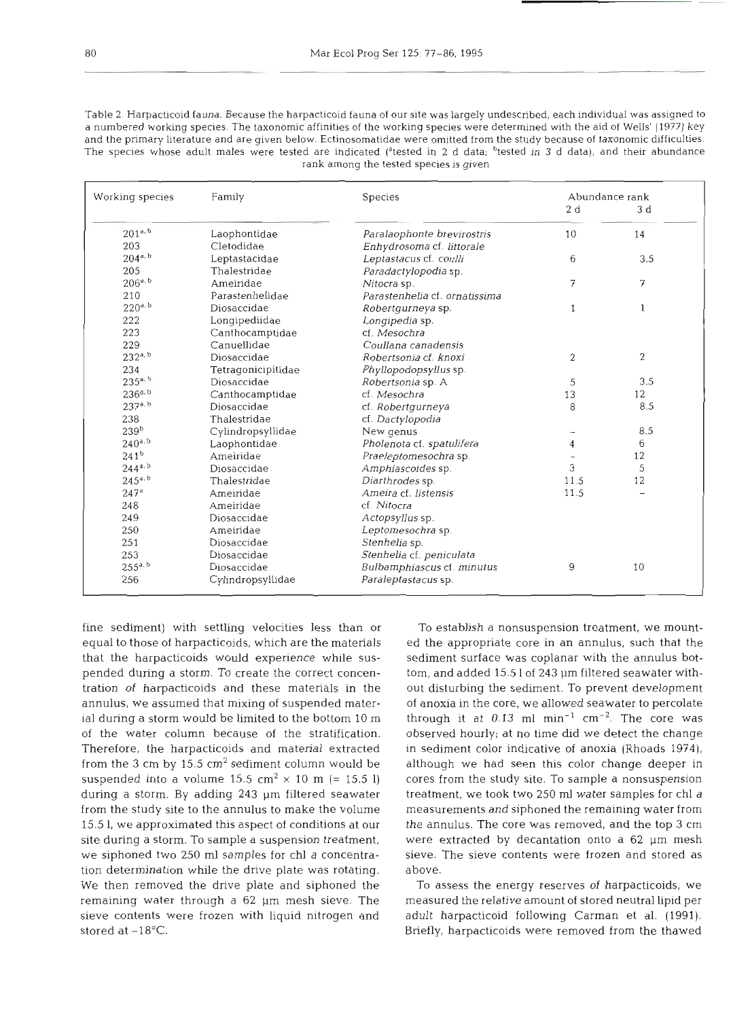Table 2 Harpacticoid fauna. Because the harpacticoid fauna of our site was largely undescribed, each individual was assigned to a numbered working species. The taxonomic affinities of the working species were determined with the aid of Wells' (1977) key and the primary literature and are given below. Ectinosomatidae were omitted from the study because of taxonomic difficulties. The species whose adult males were tested are indicated (<sup>a</sup>tested in 2 d data; <sup>b</sup>tested in 3 d data), and their abundance rank among the tested species is given

| Working species  | Family             | Species                       | Abundance rank |                |  |
|------------------|--------------------|-------------------------------|----------------|----------------|--|
|                  |                    |                               | 2d             | 3d             |  |
| $201^{4.5}$      | Laophontidae       | Paralaophonte brevirostris    | 10             | 14             |  |
| 203              | Cletodidae         | Enhydrosoma cf. littorale     |                |                |  |
| $204^{a. b}$     | Leptastacidae      | Leptastacus cf. coulli        | 6              | 3.5            |  |
| 205              | Thalestridae       | Paradactylopodia sp.          |                |                |  |
| $206^{a. b}$     | Ameiridae          | Nitocra sp.                   | 7              | 7              |  |
| 210              | Parastenhelidae    | Parastenhelia cf. ornatissima |                |                |  |
| $220^{a, b}$     | Diosaccidae        | Robertgurneya sp.             | 1              | 1              |  |
| 222              | Longipediidae      | Longipedia sp.                |                |                |  |
| 223              | Canthocamptidae    | cf. Mesochra                  |                |                |  |
| 229              | Canuellidae        | Coullana canadensis           |                |                |  |
| $232^{a, b}$     | Diosaccidae        | Robertsonia cf. knoxi         | $\overline{c}$ | $\overline{c}$ |  |
| 234              | Tetragonicipitidae | Phyllopodopsyllus sp.         |                |                |  |
| $235^{a. b}$     | Diosaccidae        | Robertsonia sp. A             | 5              | 3.5            |  |
| $236^{a, b}$     | Canthocamptidae    | cf. Mesochra                  | 13             | 12             |  |
| $237^{a, b}$     | Diosaccidae        | cf. Robertgurneya             | 8              | 8.5            |  |
| 238              | Thalestridae       | cf. Dactylopodia              |                |                |  |
| 239 <sup>b</sup> | Cylindropsyllidae  | New genus                     |                | 8.5            |  |
| $240^{a. b}$     | Laophontidae       | Pholenota cf. spatulifera     | 4              | 6              |  |
| $241^{b}$        | Ameiridae          | Praeleptomesochra sp.         |                | 12             |  |
| $244^{a,b}$      | Diosaccidae        | Amphiascoides sp.             | 3              | 5              |  |
| $245^{a. b}$     | Thalestridae       | Diarthrodes sp.               | 11.5           | 12             |  |
| 247 <sup>a</sup> | Ameiridae          | Ameira cf. listensis          | 11.5           |                |  |
| 248              | Ameiridae          | cf. Nitocra                   |                |                |  |
| 249              | Diosaccidae        | Actopsyllus sp.               |                |                |  |
| 250              | Ameiridae          | Leptomesochra sp.             |                |                |  |
| 251              | Diosaccidae        | Stenhelia sp.                 |                |                |  |
| 253              | Diosaccidae        | Stenhelia cf. peniculata      |                |                |  |
| $255^{a, b}$     | Diosaccidae        | Bulbamphiascus cf. minutus    | 9              | 10             |  |
| 256              | Cylindropsyllidae  | Paraleptastacus sp.           |                |                |  |

fine sediment) with settling velocities less than or equal to those of harpacticoids, which are the materials that the harpacticoids would experience while suspended during a storm. To create the correct concentration of harpacticoids and these materials in the annulus, we assumed that mixing of suspended material during a storm would be limited to the bottom 10 m of the water column because of the stratification. Therefore, the harpacticoids and material extracted from the 3 cm by  $15.5 \text{ cm}^2$  sediment column would be suspended into a volume 15.5 cm<sup>2</sup>  $\times$  10 m (= 15.5 l) during a storm. By adding 243 pm filtered seawater from the study site to the annulus to make the volume 15.5 1, we approximated this aspect of conditions at our site during a storm. To sample a suspension treatment, we siphoned two 250 m1 samples for chl a concentration determination while the drive plate was rotating. We then removed the drive plate and siphoned the remaining water through a 62 pm mesh sieve. The sieve contents were frozen with liquid nitrogen and stored at  $-18^{\circ}$ C.

To establish a nonsuspension treatment, we mounted the appropriate core in an annulus, such that the sediment surface was coplanar with the annulus bottom, and added 15.5 1 of 243 pm filtered seawater without disturbing the sediment. To prevent development of anoxia in the core, we allowed seawater to percolate through it at  $0.13$  ml min<sup>-1</sup> cm<sup>-2</sup>. The core was observed hourly; at no time did we detect the change in sediment color indicative of anoxia (Rhoads 1974), although we had seen this color change deeper in cores from the study site. To sample a nonsuspension treatment, we took two 250 ml water samples for chl  $a$ measurements and siphoned the remaining water from the annulus. The core was removed, and the top **3** cm were extracted by decantation onto a 62 pm mesh sieve. The sieve contents were frozen and stored as above.

To assess the energy reserves of harpacticoids, we measured the relative amount of stored neutral lipid per adult harpacticoid following Carman et al. (1991). Briefly, harpacticoids were removed from the thawed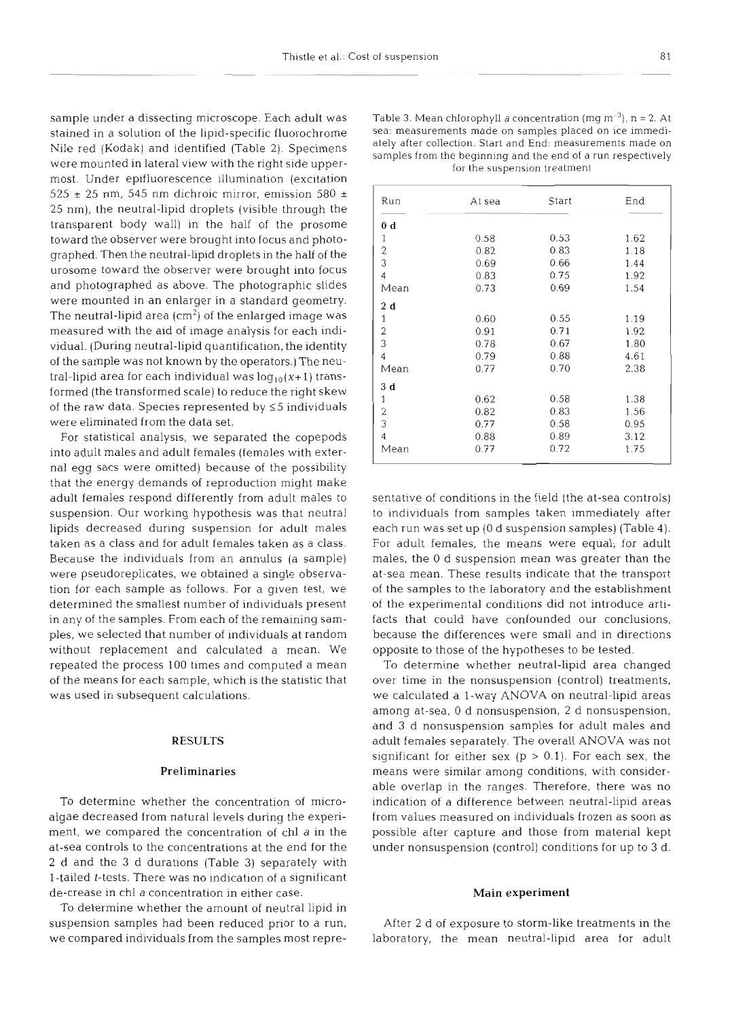sample under a dissecting microscope. Each adult was stained in a solution of the lipid-specific fluorochrome Nile red (Kodak) and identified (Table 2). Specimens were mounted in lateral view with the right side uppermost. Under epifluorescence illumination (excitation 525  $\pm$  25 nm, 545 nm dichroic mirror, emission 580  $\pm$ 25 nm), the neutral-lipid droplets (visible through the transparent body wall) in the half of the prosome toward the observer were brought into focus and photographed. Then the neutral-lipid droplets in the half of the urosome toward the observer were brought into focus and photographed as above. The photographic slides were mounted in an enlarger in a standard geometry. The neutral-lipid area  $(cm<sup>2</sup>)$  of the enlarged image was measured with the aid of image analysis for each individual. (During neutral-lipid quantification, the identity of the sample was not known by the operators.) The neutral-lipid area for each individual was  $log_{10}(x+1)$  transformed (the transformed scale) to reduce the right skew of the raw data. Species represented by  $\leq$ 5 individuals were eliminated from the data set.

For statistical analysis, we separated the copepods into adult males and adult females (females with external egg sacs were omitted) because of the possibility that the energy demands of reproduction might make adult females respond differently from adult males to suspension. Our working hypothesis was that neutral lipids decreased during suspension for adult males taken as a class and for adult females taken as a class. Because the individuals from an annulus (a sample) were pseudoreplicates, we obtained a single observation for each sample as follows. For a given test, we determined the smallest number of individuals present in any of the samples. From each of the remaining samples, we selected that number of individuals at random without replacement and calculated a mean. We repeated the process 100 times and computed a mean of the means for each sample, which is the statistic that was used in subsequent calculations.

# **RESULTS**

#### **Preliminaries**

To determine whether the concentration of microalgae decreased from natural levels during the experiment, we compared the concentration of chl a in the at-sea controls to the concentrations at the end for the 2 d and the 3 d durations (Table 3) separately with l-tailed t-tests. There was no indication of a significant de-crease in chl a concentration in either case.

To determine whether the amount of neutral lipid in suspension samples had been reduced prior to a run, we compared individuals from the samples most repreTable 3. Mean chlorophyll *a* concentration (mg m<sup>-3</sup>),  $n = 2$ . At sea: measurements made on samples placed on ice immediately after collection. Start and End: measurements made on samples from the beginning and the end o

| Run            | At sea                                                      | Start        | End          |
|----------------|-------------------------------------------------------------|--------------|--------------|
| 0 <sub>d</sub> |                                                             |              |              |
| 1              | 0.58                                                        | 0.53         | 1.62         |
| $\overline{2}$ | 0.82                                                        | 0.83         | 1.18         |
| 3              | 0.69                                                        | 0.66         | 1.44         |
| 4              | 0.83                                                        | 0.75         | 1.92         |
| Mean           | 0.73                                                        | 0.69         | 1.54         |
| 2d             |                                                             |              |              |
| 1              | 0.60                                                        | 0.55         | 1.19         |
| 2              | 0.91                                                        | 0.71         | 1.92         |
| 3              | 0.78                                                        | 0.67         | 1.80         |
| 4              | 0.79                                                        | 0.88         | 4.61         |
| Mean           | 0.77                                                        | 0.70         | 2.38         |
| 3d             |                                                             |              |              |
| 1              | 0.62                                                        | 0.58         | 1.38         |
| $\overline{2}$ | 0.82                                                        | 0.83         | 1.56         |
| 3              | 0.77                                                        | 0.58         | 0.95         |
| 4<br>Mean      | 0.88<br>0.77                                                | 0.89<br>0.72 | 3.12<br>1.75 |
|                | sentative of conditions in the field (the at-sea controls)  |              |              |
|                | to individuals from samples taken immediately after         |              |              |
|                | each run was set up (0 d suspension samples) (Table 4).     |              |              |
|                | For adult females, the means were equal; for adult          |              |              |
|                | males, the 0 d suspension mean was greater than the         |              |              |
|                | at-sea mean. These results indicate that the transport      |              |              |
|                | of the samples to the laboratory and the establishment      |              |              |
|                | of the experimental conditions did not introduce arti-      |              |              |
|                | facts that could have confounded our conclusions,           |              |              |
|                |                                                             |              |              |
|                | because the differences were small and in directions        |              |              |
|                | opposite to those of the hypotheses to be tested.           |              |              |
|                | To determine whether neutral-lipid area changed             |              |              |
|                | over time in the nonsuspension (control) treatments,        |              |              |
|                | we calculated a 1-way ANOVA on neutral-lipid areas          |              |              |
|                | among at-sea, 0 d nonsuspension, 2 d nonsuspension,         |              |              |
|                | and 3 d nonsuspension samples for adult males and           |              |              |
|                | adult females separately. The overall ANOVA was not         |              |              |
|                |                                                             |              |              |
|                | significant for either sex ( $p > 0.1$ ). For each sex, the |              |              |
|                | means were similar among conditions, with consider-         |              |              |
|                | able overlap in the ranges. Therefore, there was no         |              |              |
|                | indication of a difference between neutral-lipid areas      |              |              |
|                | from values measured on individuals frozen as soon as       |              |              |
|                | possible after capture and those from material kept         |              |              |
|                |                                                             |              |              |
|                | under nonsuspension (control) conditions for up to 3 d.     |              |              |

#### **Main experiment**

After 2 d of exposure to storm-like treatments in the laboratory, the mean neutral-lipid area for adult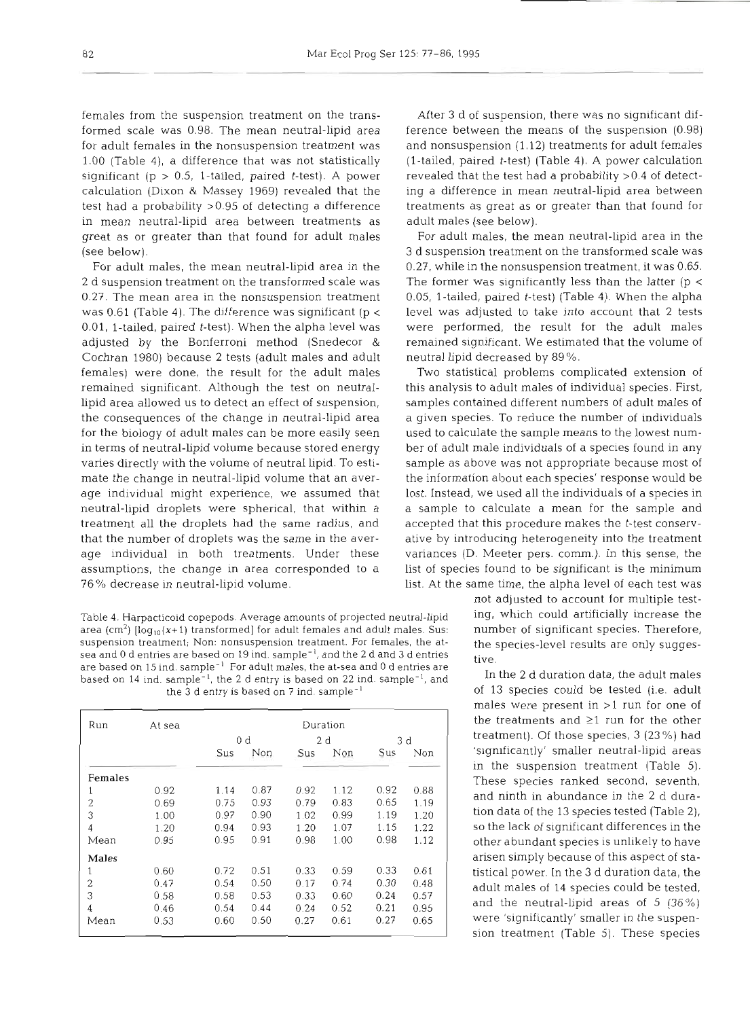formed scale was 0.98. The mean neutral-lipid area ference between the means of the suspension (0.98) for adult females in the nonsuspension treatment was and nonsuspension (1.12) treatments for adult females 1.00 (Table 4), a difference that was not statistically (l-tailed, paired t-test) (Table **4).** A power calculation significant (p > 0.5, 1-tailed, paired t-test). A power revealed that the test had a probability >0.4 of detectcalculation (Dixon & Massey 1969) revealed that the ing a difference in mean neutral-lipid area between test had a probability >0.95 of detecting a difference treatments as great as or greater than that found for in mean neutral-lipid area between treatments as adult males (see below). great as or greater than that found for adult males For adult males, the mean neutral-lipid area in the (see below). 3 d suspension treatment on the transformed scale was

2 d suspension treatment on the transformed scale was The former was significantly less than the latter (p < 0.27. The mean area in the nonsuspension treatment 0.05, l-tailed, paired t-test) (Table 4). When the alpha was 0.61 (Table 4). The difference was significant (p < level was adjusted to take into account that 2 tests 0.01, l-tailed, paired t-test). When the alpha level was were performed, the result for the adult males adjusted by the Bonferroni method (Snedecor & remained significant. We estimated that the volume of Cochran 1980) because 2 tests (adult males and adult neutral lipid decreased by 89%. females) were done, the result for the adult males Two statistical problems complicated extension of remained significant. Although the test on neutral- this analysis to adult males of individual species. First, lipid area allowed us to detect an effect of suspension, samples contained different numbers of adult males of the consequences of the change in neutral-lipid area for the biology of adult males can be more easily seen used to calculate the sample means to the lowest numin terms of neutral-lipid volume because stored energy ber of adult male individuals of a species found in any varies directly with the volume of neutral lipid. To esti- sample as above was not appropriate because most of mate the change in neutral-lipid volume that an aver- the information about each species' response would be age individual might experience, we assumed that lost. Instead, we used all the individuals of a species in neutral-lipid droplets were spherical, that within a a sample to calculate a mean for the sample and treatment all the droplets had the same radius, and accepted that this procedure makes the t-test conservthat the number of droplets was the same in the aver- ative by introducing heterogeneity into the treatment age individual in both treatments. Under these variances (D. Meeter pers. comm.). In this sense, the assumptions, the change in area corresponded to a list of species found to be significant is the minimum

Table 4. Harpacticoid copepods. Average amounts of projected neutral-lipid ing, which could artificially increase the area (cm<sup>2</sup>) [log<sub>10</sub>(x+1) transformed] for adult females and adult males. Sus: number of significant species. Therefore, suspension treatment; Non: nonsuspension treatment. For females, the at- the species-level results are only suggessea and 0 d entries are based on 19 ind. sample<sup>-1</sup>, and the 2 d and 3 d entries tive. are based on 15 ind. sample<sup>-1</sup> For adult males, the at-sea and 0 d entries are based on 14 ind. sample<sup>-1</sup>, the 2 d entry is based on 22 ind. sample<sup>-1</sup>, and In the 2 d duration data, the adult males the 3 d entry is based on 7 ind. sample<sup>-1</sup> and In the 2 d duration data, the adult males the 3 d en the 3 d entry is based on 7 ind. sample<sup>-1</sup>

| Run            | At sea | Duration |      |      |      |      |      |  |  |
|----------------|--------|----------|------|------|------|------|------|--|--|
|                |        | 0 d      |      | 2d   |      | 3 d  |      |  |  |
|                |        | Sus      | Non  | Sus  | Non  | Sus  | Non  |  |  |
| Females        |        |          |      |      |      |      |      |  |  |
| 1              | 0.92   | 1.14     | 0.87 | 0.92 | 1.12 | 0.92 | 0.88 |  |  |
| $\overline{2}$ | 0.69   | 0.75     | 0.93 | 0.79 | 0.83 | 0.65 | 1.19 |  |  |
| 3              | 1.00   | 0.97     | 0.90 | 1.02 | 0.99 | 1.19 | 1.20 |  |  |
| 4              | 1.20   | 0.94     | 0.93 | 1.20 | 1.07 | 1.15 | 1.22 |  |  |
| Mean           | 0.95   | 0.95     | 0.91 | 0.98 | 1.00 | 0.98 | 1.12 |  |  |
| Males          |        |          |      |      |      |      |      |  |  |
| 1              | 0.60   | 0.72     | 0.51 | 0.33 | 0.59 | 0.33 | 0.61 |  |  |
| $\overline{2}$ | 0.47   | 0.54     | 0.50 | 0.17 | 0.74 | 0.30 | 0.48 |  |  |
| 3              | 0.58   | 0.58     | 0.53 | 0.33 | 0.60 | 0.24 | 0.57 |  |  |
| 4              | 0.46   | 0.54     | 0.44 | 0.24 | 0.52 | 0.21 | 0.95 |  |  |
| Mean           | 0.53   | 0.60     | 0.50 | 0.27 | 0.61 | 0.27 | 0.65 |  |  |

females from the suspension treatment on the trans- After 3 d of suspension, there was no significant dif-

For adult males, the mean neutral-lipid area in the 0.27, while in the nonsuspension treatment, it was 0.65.

76 % decrease in neutral-lipid volume. list. At the same time, the alpha level of each test was

not adjusted to account for multiple test-

males were present in >l run for one of the treatments and  $\geq 1$  run for the other treatment). Of those species, 3 (23 %) had 'significantly' smaller neutral-lipid areas in the suspension treatment (Table 5). These species ranked second, seventh, and ninth in abundance in the 2 d duration data of the 13 species tested (Table 2), so the lack of significant differences in the other abundant species is unlikely to have arisen simply because of this aspect of statistical power. In the 3 d duration data, the adult males of 14 species could be tested, and the neutral-lipid areas of 5 (36%) were 'significantly' smaller in the suspension treatment (Table 5). These species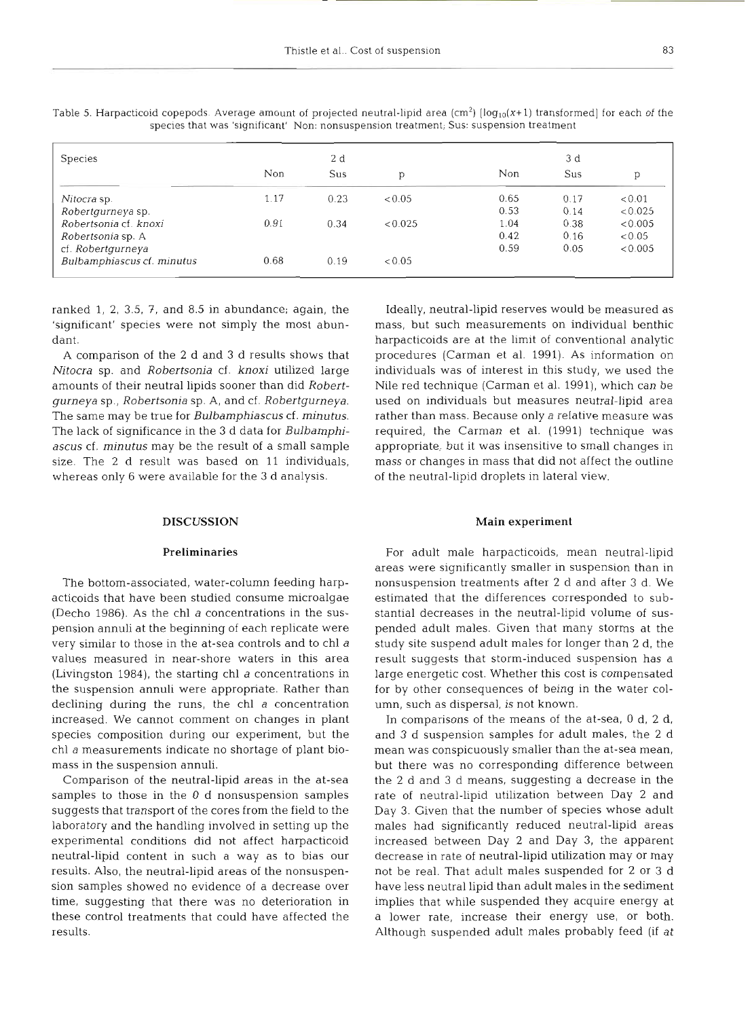| Species                    | 2 d  |      |         | 3 d  |      |         |
|----------------------------|------|------|---------|------|------|---------|
|                            | Non  | Sus  |         | Non  | Sus  | р       |
| Nitocra sp.                | 1.17 | 0.23 | < 0.05  | 0.65 | 0.17 | < 0.01  |
| Robertgurneya sp.          |      |      |         | 0.53 | 0.14 | < 0.025 |
| Robertsonia cf. knoxi      | 0.91 | 0.34 | < 0.025 | 1.04 | 0.38 | < 0.005 |
| Robertsonia sp. A          |      |      |         | 0.42 | 0.16 | < 0.05  |
| cf. Robertgurneya          |      |      |         | 0.59 | 0.05 | < 0.005 |
| Bulbamphiascus cf. minutus | 0.68 | 0.19 | < 0.05  |      |      |         |

Table 5. Harpacticoid copepods. Average amount of projected neutral-lipid area (cm<sup>2</sup>)  $\log_{10}(x+1)$  transformed] for each of the species that was 'significant' Non: nonsuspension treatment; Sus: suspension treatment

ranked 1, 2, 3.5, 7, and 8.5 in abundance; again, the 'significant' species were not simply the most abundant.

A comparison of the 2 d and **3** d results shows that *Nitocra* sp. and *Robertsonia* cf. *knoxi* utilized large amounts of their neutral lipids sooner than did *Robertgurneya* sp., *Robertsonia* sp. A, and cf. *Robertgurneya.*  The same may be true for *Bulbamphiascus* cf. *minutus.*  The lack of significance in the **3** d data for *Bulbamphiascus* cf. *minutus* may be the result of a small sample size. The 2 d result was based on 11 individuals, whereas only 6 were available for the *3* d analysis.

# DISCUSSION

## Preliminaries

The bottom-associated, water-column feeding harpacticoids that have been studied consume microalgae (Decho 1986). As the chl *a* concentrations in the suspension annuli at the beginning of each replicate were very similar to those in the at-sea controls and to chl *<sup>a</sup>* values measured in near-shore waters in this area (Livingston 1984), the starting chl *a* concentrations in the suspension annuli were appropriate. Rather than declining during the runs, the chl *a* concentration increased. We cannot comment on changes in plant species composition during our experiment, but the chl *a* measurements indicate no shortage of plant biomass in the suspension annuli.

Comparison of the neutral-lipid areas in the at-sea samples to those in the **0** d nonsuspension samples suggests that transport of the cores from the field to the laboratory and the handling involved in setting up the experimental conditions did not affect harpacticoid neutral-lipid content in such a way as to bias our results. Also, the neutral-lipid areas of the nonsuspension samples showed no evidence of a decrease over time, suggesting that there was no deterioration in these control treatments that could have affected the results.

Ideally, neutral-lipid reserves would be measured as mass, but such measurements on individual benthic harpacticoids are at the limit of conventional analytic procedures (Carman et al. 1991). As information on individuals was of interest in this study, we used the Nile red technique (Carman et al. 1991), which can be used on individuals but measures neutral-lipid area rather than mass. Because only a relative measure was required, the Carman et al. (1991) technique was appropriate, but it was insensitive to small changes in mass or changes in mass that did not affect the outline of the neutral-lipid droplets in lateral view.

### Main experiment

For adult male harpacticoids, mean neutral-lipid areas were significantly smaller in suspension than in nonsuspension treatments after 2 d and after **3** d. We estimated that the differences corresponded to substantial decreases in the neutral-lipid volume of suspended adult males. Given that many storms at the study site suspend adult males for longer than 2 d, the result suggests that storm-induced suspension has a large energetic cost. Whether this cost is compensated for by other consequences of being in the water column, such as dispersal, is not known.

In comparisons of the means of the at-sea, 0 d, 2 d. and *3* d suspension samples for adult males, the 2 d mean was conspicuously smaller than the at-sea mean, but there was no corresponding difference between the 2 d and **3** d means, suggesting a decrease in the rate of neutral-lipid utilization between Day 2 and Day *3.* Given that the number of species whose adult males had significantly reduced neutral-lipid areas increased between Day 2 and Day **3,** the apparent decrease in rate of neutral-lipid utilization may or may not be real. That adult males suspended for 2 or **3** d have less neutral lipid than adult males in the sediment implies that while suspended they acquire energy at a lower rate, increase their energy use, or both. Although suspended adult males probably feed (if at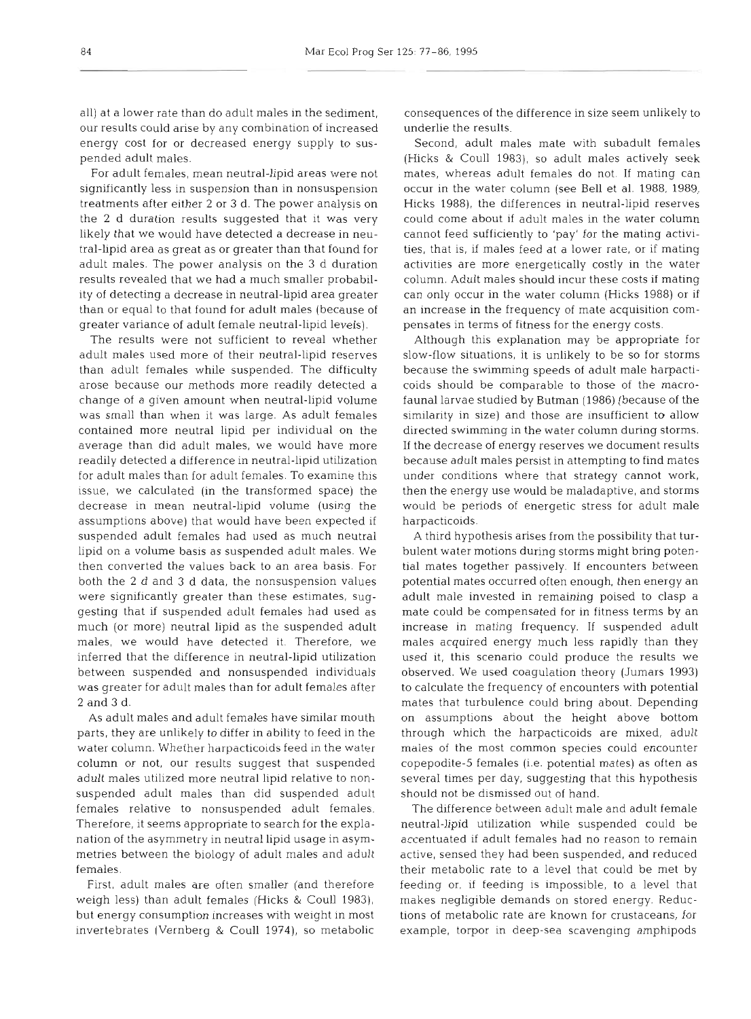all) at a lower rate than do adult males in the sediment, our results could arise by any combination of increased energy cost for or decreased energy supply to suspended adult males.

For adult females, mean neutral-lipid areas were not significantly less in suspension than in nonsuspension treatments after either 2 or **3** d. The power analysis on the 2 d duration results suggested that it was very likely that we would have detected a decrease in neutral-lipid area as great as or greater than that found for adult males. The power analysis on the 3 d duration results revealed that we had a much smaller probability of detecting a decrease in neutral-lipid area greater than or equal to that found for adult males (because of greater variance of adult female neutral-lipid levels).

The results were not sufficient to reveal whether adult males used more of their neutral-lipid reserves than adult females while suspended. The difficulty arose because our methods more readily detected a change of a given amount when neutral-lipid volume was small than when it was large. As adult females contained more neutral lipid per individual on the average than did adult males, we would have more readily detected a difference in neutral-lipid utilization for adult males than for adult females. To examine this issue, we calculated (in the transformed space) the decrease in mean neutral-lipid volume (using the assumptions above) that would have been expected if suspended adult females had used as much neutral lipid on a volume basis as suspended adult males. We then converted the values back to an area basis. For both the 2 d and 3 d data, the nonsuspension values were significantly greater than these estimates, suggesting that if suspended adult females had used as much (or more) neutral lipid as the suspended adult males, we would have detected it. Therefore, we inferred that the difference in neutral-lipid utilization between suspended and nonsuspended individuals was greater for adult males than for adult females after 2 and **3** d.

As adult males and adult females have similar mouth parts, they are unlikely to differ in ability to feed in the water column. Whether harpacticolds feed in the water column or not, our results suggest that suspended adult males utilized more neutral lipid relative to nonsuspended adult males than did suspended adult females relative to nonsuspended adult females. Therefore, it seems appropriate to search for the explanation of the asymmetry in neutral lipid usage in asymmetries between the biology of adult males and adult females.

First, adult males are often smaller (and therefore weigh less) than adult females (Hicks & Coull 1983), but energy consumption increases with weight in most invertebrates (Vernberg & Coull 1974), so metabolic consequences of the difference in size seem unlikely to underlie the results.

Second, adult males mate with subadult females (Hicks & Coull 1983), so adult males actively seek mates, whereas adult females do not. If mating can occur in the water column (see Bell et al. 1988, 1989, Hicks 1988), the differences in neutral-lipid reserves could come about if adult males in the water column cannot feed sufficiently to 'pay' for the mating activities, that is, if males feed at a lower rate, or if mating activities are more energetically costly in the water column. Adult males should incur these costs if mating can only occur in the water column (Hicks 1988) or if an increase in the frequency of mate acquisition compensates in terms of fitness for the energy costs.

Although this explanation may be appropriate for slow-flow situations, it is unlikely to be so for storms because the swimming speeds of adult male harpacticoids should be comparable to those of the macrofauna1 larvae studied by Butman (1986) (because of the similarity in size) and those are insufficient to allow directed swimming in the water column during storms. If the decrease of energy reserves we document results because adult males persist in attempting to find mates under conditions where that strategy cannot work, then the energy use would be maladaptive, and storms would be periods of energetic stress for adult male harpacticoids.

**A** third hypothesis arises from the possibility that turbulent water motions during storms might bring potential mates together passively. If encounters between potential mates occurred often enough, then energy an adult male invested in remaining poised to clasp a mate could be compensated for in fitness terms by an increase in mating frequency. If suspended adult males acquired energy much less rapidly than they used it, this scenario could produce the results we observed. We used coagulation theory (Jumars 1993) to calculate the frequency of encounters with potential mates that turbulence could bring about. Depending on assumptions about the height above bottom through which the harpacticoids are mixed, adult males of the most common species could encounter copepodite-5 females (i.e. potential mates) as often as several times per day, suggesting that this hypothesis should not be dismissed out of hand.

The difference between adult male and adult female neutral-lipid utilization while suspended could be accentuated if adult females had no reason to remain active, sensed they had been suspended, and reduced their metabolic rate to a level that could be met by feeding or, if feeding is impossible, to a level that makes negligible demands on stored energy. Reductions of metabolic rate are known for crustaceans, for example, torpor in deep-sea scavenging amphipods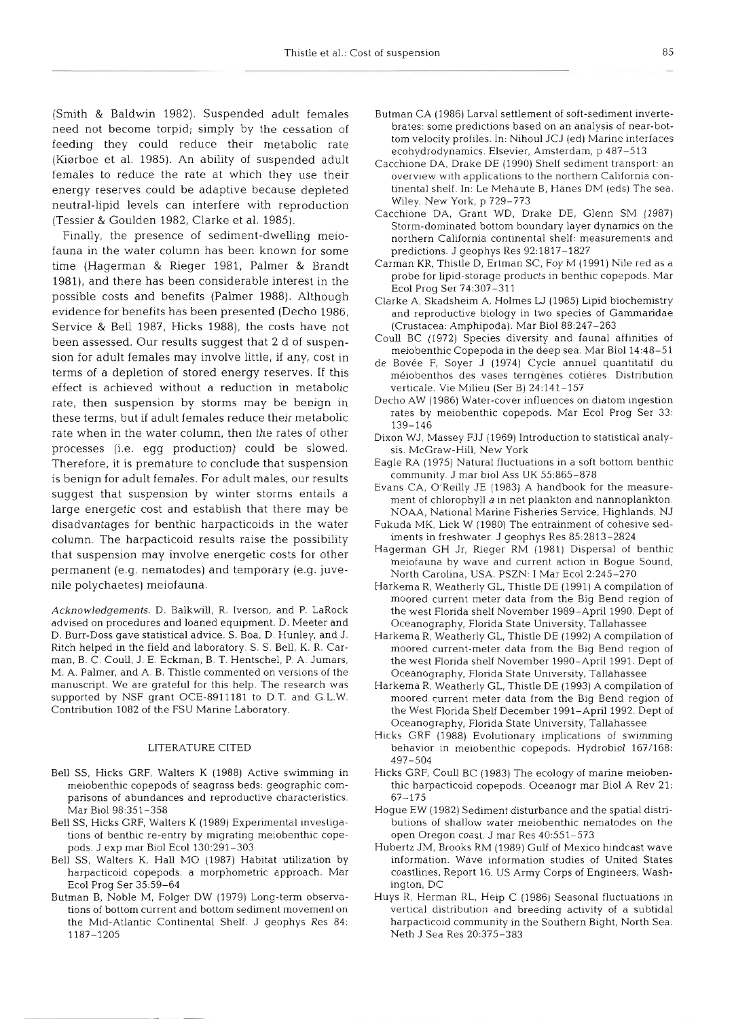(Smith & Baldwin 1982). Suspended adult females need not become torpid; simply by the cessation of feeding they could reduce their metabolic rate (Kiørboe et al. 1985). An ability of suspended adult females to reduce the rate at which they use their energy reserves could be adaptive because depleted neutral-lipid levels can interfere with reproduction (Tessier & Goulden 1982, Clarke et al. 1985).

Finally, the presence of sediment-dwelling meiofauna in the water column has been known for so time (Hagerman & Rieger 1981, Palmer & Brandt 1981), and there has been considerable interest in the possible costs and benefits (Palmer 1988). Although evidence for benefits has been presented (Decho 1986, Service & Bell 1987, Hicks 1988), the costs have not been assessed. Our results suggest that **2** d of suspension for adult females may involve little, if any, cost in terms of a depletion of stored energy reserves. If this effect is achieved without a reduction in metabolic rate, then suspension by storms may be benign in these terms, but if adult females reduce their metabolic rate when in the water column, then the rates of other processes (i.e. egg production) could be slowed. Therefore, it is premature to conclude that suspension is benign for adult females. For adult males, our results suggest that suspension by winter storms entails a large energetic cost and establish that there may be disadvantages for benthic harpacticoids in the water column. The harpacticoid results raise the possibility that suspension may involve energetic costs for other permanent (e.g. nematodes) and temporary (e.g. juvenile polychaetes) meiofauna.

Acknowledgements. D. Balkwill, R. Iverson, and P. LaRock advised on procedures and loaned equipment. D. Meeter and D. Burr-Doss gave statistical advice. S. Boa, D. Hunley, and J. Ritch helped in the field and laboratory. S. S. Bell, K. R. Carman, B. C. Coull. J. E. Eckman, B. T. Hentschel, P. A. Jumars, M. A. Palmer, and A. B. Thistle commented on versions of the manuscript. We are grateful for this help. The research was supported by NSF grant OCE-8911181 to D.T. and G.L.W. Contribution 1082 of the FSU Marine Laboratory.

## LITERATURE CITED

- Bell SS, Hicks GRF, Walters K (1988) Active swimming in meiobenthic copepods of seagrass beds: geographic comparisons of abundances and reproductive characteristics. Mar Biol 98:351-358
- Bell SS, Hicks GRF. Walters K (1989) Experimental investigations of benthic re-entry by migrating meiobenthic copepods. J exp mar Biol Ecol 130:291-303
- Bell SS, Walters K. Hall MO (1987) Habitat utilization by harpacticoid copepods: a morphometric approach. Mar Ecol Prog Ser 35:59-64
- Butman B, Noble M. Folger DW (1979) Long-term observations of bottom current and bottom sediment movemen the Mid-Atlantic Continental Shelf. J geophys Res 84: 1187-1205
- Butman CA (1986) Larval settlement of soft-sediment invertebrates: some predictions based on an analysis of near-bottom velocity profiles. In: Nihoul JCJ (ed) Marine interfaces ecohydrodynamics. Elsevier, Amsterdam, p 487-513
- Cacchione DA, Drake DE (1990) Shelf sediment transport: an overview with applications to the northern California continental shelf. In: Le Mehaute B, Hanes DM (eds) The sea. Wiley, New York, p 729-773
- Cacchione DA, Grant WD, Drake DE, Glenn SM (1987) Storm-dominated bottom boundary layer dynamics on the northern California continental shelf: measurements and predictions. J geophys Res 92:1817-1827
- Carman KR, Thistle D, Ertman SC, Foy M (1991) Nile red as a probe for lipid-storage products in benthic copepods. Mar Ecol Prog Ser 74:307-311
- Clarke A, Skadsheim A, Holmes U (1985) Lipid biochemistry and reproductive biology in two species of Gammaridae (Crustacea: Amphipoda). Mar Biol 88:24?-263
- Coull BC (1972) Species diversity and fauna1 affinities of meiobenthic Copepoda in the deep sea. Mar Biol 14:48-51
- de Bovée F, Soyer J (1974) Cycle annuel quantitatif du meiobenthos des vases terrigenes cotieres. Distribution verticale. Vie Milieu (Ser B) 24:141-157
- Decho AW (1986) Water-cover influences on diatom ingestion rates by meiobenthic copepods. Mar Ecol Prog Ser 33: 139–
- Dixon WJ, Massey FJJ (1969) Introduction to statistical analysis. McGraw-Hill, New York
- Eagle RA (1975) Natural fluctuations in a soft bottom benthic community. J mar biol Ass UK 55:865-878
- Evans CA. O'Reilly JE (1983) A handbook for the measurement of chlorophyll a in net plankton and nannoplankton NOAA, National Marine Fisheries Service, Highlands, NJ
- Fukuda MK, Lick W (1980) The entrainment of cohesive sediments in freshwater. J geophys Res 85:2813-2824
- Hagerman GH Jr, Rieger RM (1981) Dispersal of benthic meiofauna by wave and current action in Bogue Sound, North Carolina, USA. PSZN: I Mar Ecol2:245-230
- Harkema R, Weatherly GL, Thistle DE (1991) **A** compilation of moored current meter data from the Big Bend region of the west Florida shelf November 1989-April 1990. Dept of Oceanography, Florida State University, Tallahassee
- Harkema R, Weatherly GL, Thistle DE (1992) A compilation of moored current-meter data from the Big Bend region of the west Florida shelf November 1990-April 1991. Dept of Oceanography, Florida State University, Tallahassee
- Harkema R. Weatherly GL, Thistle DE (1993) A compilation of moored current meter data from the Big Bend region of the West Florida Shelf December 1991-April 1992. Dept of Oceanography, Florida State University, Tallahassee
- Hicks GRF (1988) Evolutionary implications of swimming behavior in meiobenthic copepods. Hydrobiol 167/168: 497-504
- Hicks GRF, Coull BC (1983) The ecology of marine meio thic harpacticoid copepods. Oceanogr mar Biol A Rev 21: 67-175
- Hogue EW (1982) Sediment disturbance and the spatial distributions of shallow water meiobenthic nematodes on the open Oregon coast. J mar Res 40:551-573
	- Hubertz JM, Brooks RM (1989) Gulf of Mexico hindcast wave information. Wave information studies of United Sta coastlines, Report 16. US Army Corps of Engineers. Washington, DC
	- Huys R, Herman RL, Heip C (1986) Seasonal fluctuations in vertical distribution and breeding activity of a subtidal harpacticoid community in the Southern Bight. North Sea. Neth J Sea Res 20:375-383